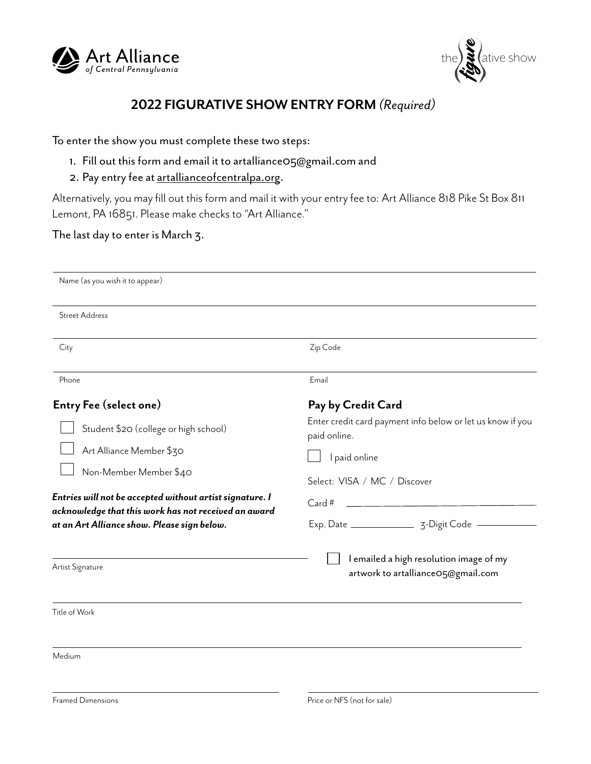



## **2022 FIGURATIVE SHOW ENTRY FORM** *(Required)*

To enter the show you must complete these two steps:

- 1. Fill out this form and email it to artalliance05@gmail.com and
- 2. Pay entry fee at artallianceofcentralpa.org.

Alternatively, you may fill out this form and mail it with your entry fee to: Art Alliance 818 Pike St Box 811 Lemont, PA 16851. Please make checks to "Art Alliance."

## The last day to enter is March 3.

| Name (as you wish it to appear)                                                                                  |                                                                               |
|------------------------------------------------------------------------------------------------------------------|-------------------------------------------------------------------------------|
| <b>Street Address</b>                                                                                            |                                                                               |
| City                                                                                                             | Zip Code                                                                      |
| Phone                                                                                                            | Email                                                                         |
| <b>Entry Fee (select one)</b>                                                                                    | Pay by Credit Card                                                            |
| Student \$20 (college or high school)                                                                            | Enter credit card payment info below or let us know if you<br>paid online.    |
| Art Alliance Member \$30                                                                                         | I paid online                                                                 |
| Non-Member Member \$40                                                                                           | Select: VISA / MC / Discover                                                  |
| Entries will not be accepted without artist signature. I<br>acknowledge that this work has not received an award | <u> 1980 - Andrea Stadt, fransk politik (d. 1980)</u><br>Card #               |
| at an Art Alliance show. Please sign below.                                                                      |                                                                               |
| Artist Signature                                                                                                 | I emailed a high resolution image of my<br>artwork to artallianceO5@gmail.com |
| Title of Work                                                                                                    |                                                                               |
| Medium                                                                                                           |                                                                               |